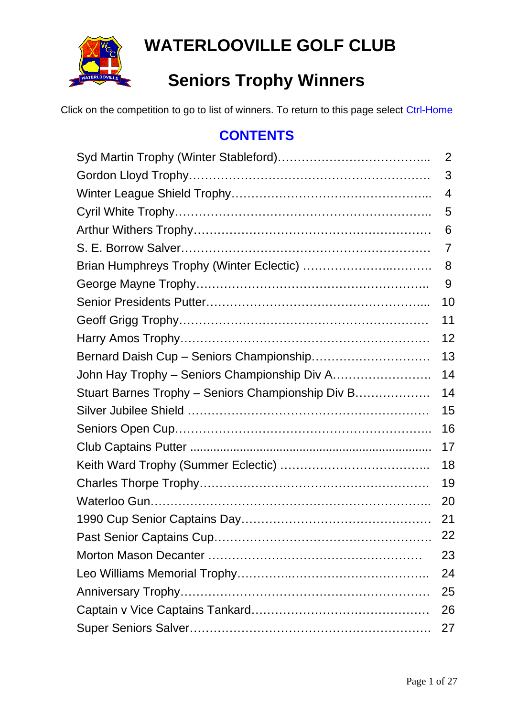

# **WATERLOOVILLE GOLF CLUB**

# **Seniors Trophy Winners**

Click on the competition to go to list of winners. To return to this page select Ctrl-Home

#### **CONTENTS**

|                                                   | 2  |
|---------------------------------------------------|----|
|                                                   | 3  |
|                                                   | 4  |
|                                                   | 5  |
|                                                   | 6  |
|                                                   | 7  |
|                                                   | 8  |
|                                                   | 9  |
|                                                   | 10 |
|                                                   | 11 |
|                                                   | 12 |
|                                                   | 13 |
|                                                   | 14 |
| Stuart Barnes Trophy - Seniors Championship Div B | 14 |
|                                                   | 15 |
|                                                   | 16 |
|                                                   | 17 |
|                                                   | 18 |
|                                                   | 19 |
|                                                   | 20 |
|                                                   | 21 |
|                                                   | 22 |
|                                                   | 23 |
|                                                   | 24 |
|                                                   | 25 |
|                                                   | 26 |
|                                                   | 27 |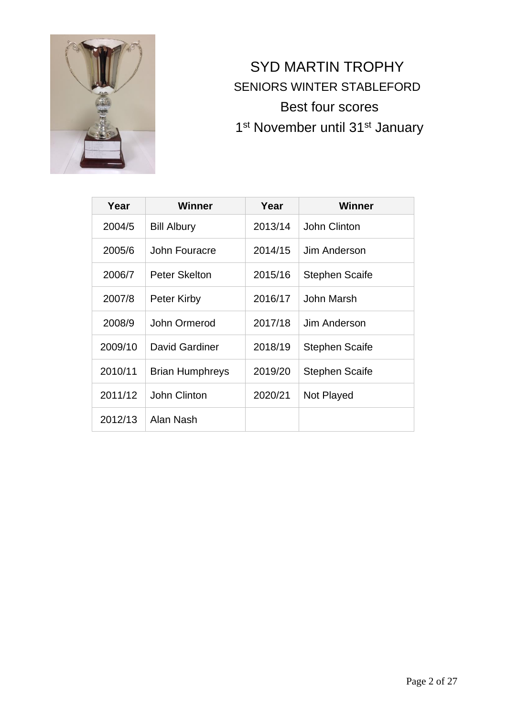

### <span id="page-1-0"></span>SYD MARTIN TROPHY SENIORS WINTER STABLEFORD Best four scores 1<sup>st</sup> November until 31<sup>st</sup> January

| Year    | Winner                 | Year    | Winner                |
|---------|------------------------|---------|-----------------------|
| 2004/5  | <b>Bill Albury</b>     | 2013/14 | John Clinton          |
| 2005/6  | John Fouracre          | 2014/15 | Jim Anderson          |
| 2006/7  | <b>Peter Skelton</b>   | 2015/16 | <b>Stephen Scaife</b> |
| 2007/8  | Peter Kirby            | 2016/17 | John Marsh            |
| 2008/9  | John Ormerod           | 2017/18 | Jim Anderson          |
| 2009/10 | David Gardiner         | 2018/19 | <b>Stephen Scaife</b> |
| 2010/11 | <b>Brian Humphreys</b> | 2019/20 | <b>Stephen Scaife</b> |
| 2011/12 | John Clinton           | 2020/21 | Not Played            |
| 2012/13 | Alan Nash              |         |                       |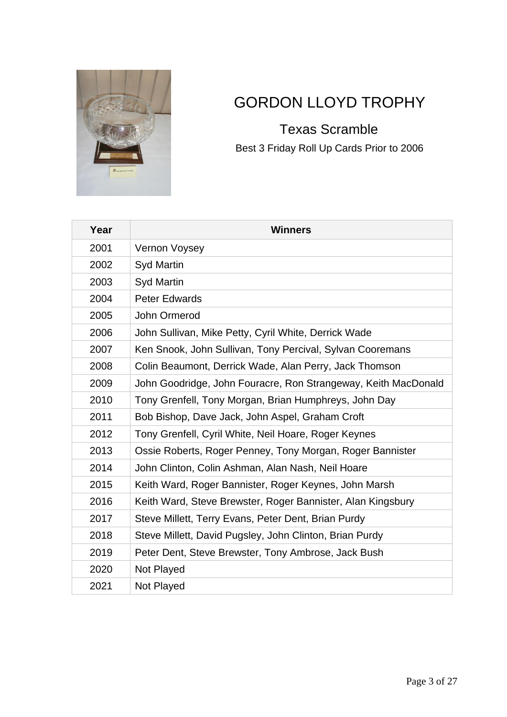

### <span id="page-2-0"></span>GORDON LLOYD TROPHY

 Texas Scramble Best 3 Friday Roll Up Cards Prior to 2006

| Year | <b>Winners</b>                                                 |
|------|----------------------------------------------------------------|
| 2001 | <b>Vernon Voysey</b>                                           |
| 2002 | <b>Syd Martin</b>                                              |
| 2003 | <b>Syd Martin</b>                                              |
| 2004 | <b>Peter Edwards</b>                                           |
| 2005 | John Ormerod                                                   |
| 2006 | John Sullivan, Mike Petty, Cyril White, Derrick Wade           |
| 2007 | Ken Snook, John Sullivan, Tony Percival, Sylvan Cooremans      |
| 2008 | Colin Beaumont, Derrick Wade, Alan Perry, Jack Thomson         |
| 2009 | John Goodridge, John Fouracre, Ron Strangeway, Keith MacDonald |
| 2010 | Tony Grenfell, Tony Morgan, Brian Humphreys, John Day          |
| 2011 | Bob Bishop, Dave Jack, John Aspel, Graham Croft                |
| 2012 | Tony Grenfell, Cyril White, Neil Hoare, Roger Keynes           |
| 2013 | Ossie Roberts, Roger Penney, Tony Morgan, Roger Bannister      |
| 2014 | John Clinton, Colin Ashman, Alan Nash, Neil Hoare              |
| 2015 | Keith Ward, Roger Bannister, Roger Keynes, John Marsh          |
| 2016 | Keith Ward, Steve Brewster, Roger Bannister, Alan Kingsbury    |
| 2017 | Steve Millett, Terry Evans, Peter Dent, Brian Purdy            |
| 2018 | Steve Millett, David Pugsley, John Clinton, Brian Purdy        |
| 2019 | Peter Dent, Steve Brewster, Tony Ambrose, Jack Bush            |
| 2020 | Not Played                                                     |
| 2021 | Not Played                                                     |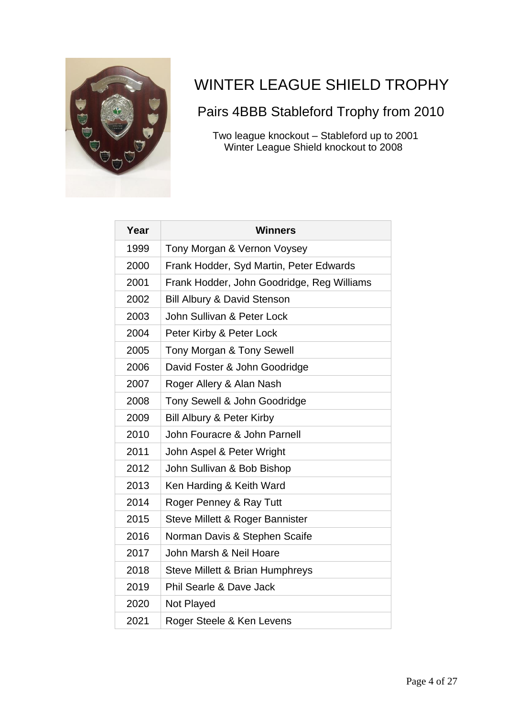

### <span id="page-3-0"></span>WINTER LEAGUE SHIELD TROPHY

#### Pairs 4BBB Stableford Trophy from 2010

 Two league knockout – Stableford up to 2001 Winter League Shield knockout to 2008

| Year | <b>Winners</b>                             |
|------|--------------------------------------------|
| 1999 | Tony Morgan & Vernon Voysey                |
| 2000 | Frank Hodder, Syd Martin, Peter Edwards    |
| 2001 | Frank Hodder, John Goodridge, Reg Williams |
| 2002 | <b>Bill Albury &amp; David Stenson</b>     |
| 2003 | John Sullivan & Peter Lock                 |
| 2004 | Peter Kirby & Peter Lock                   |
| 2005 | Tony Morgan & Tony Sewell                  |
| 2006 | David Foster & John Goodridge              |
| 2007 | Roger Allery & Alan Nash                   |
| 2008 | Tony Sewell & John Goodridge               |
| 2009 | <b>Bill Albury &amp; Peter Kirby</b>       |
| 2010 | John Fouracre & John Parnell               |
| 2011 | John Aspel & Peter Wright                  |
| 2012 | John Sullivan & Bob Bishop                 |
| 2013 | Ken Harding & Keith Ward                   |
| 2014 | Roger Penney & Ray Tutt                    |
| 2015 | Steve Millett & Roger Bannister            |
| 2016 | Norman Davis & Stephen Scaife              |
| 2017 | John Marsh & Neil Hoare                    |
| 2018 | Steve Millett & Brian Humphreys            |
| 2019 | <b>Phil Searle &amp; Dave Jack</b>         |
| 2020 | Not Played                                 |
| 2021 | Roger Steele & Ken Levens                  |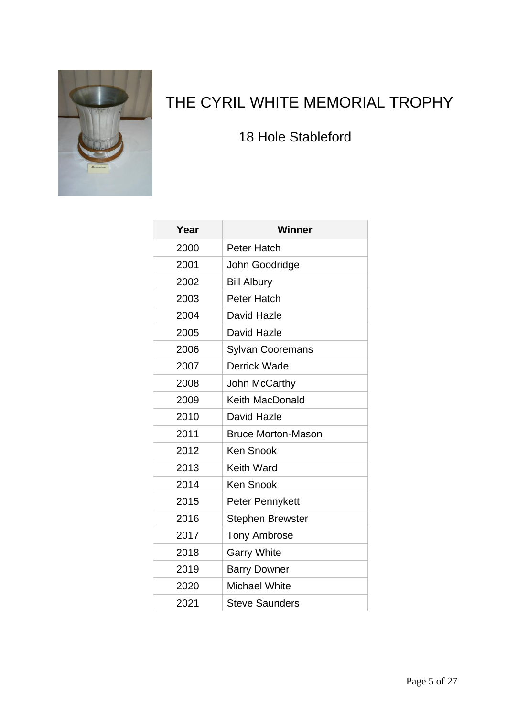

## <span id="page-4-0"></span>THE CYRIL WHITE MEMORIAL TROPHY

#### 18 Hole Stableford

| Year | <b>Winner</b>             |
|------|---------------------------|
| 2000 | <b>Peter Hatch</b>        |
| 2001 | John Goodridge            |
| 2002 | <b>Bill Albury</b>        |
| 2003 | Peter Hatch               |
| 2004 | David Hazle               |
| 2005 | David Hazle               |
| 2006 | <b>Sylvan Cooremans</b>   |
| 2007 | <b>Derrick Wade</b>       |
| 2008 | John McCarthy             |
| 2009 | <b>Keith MacDonald</b>    |
| 2010 | David Hazle               |
| 2011 | <b>Bruce Morton-Mason</b> |
| 2012 | <b>Ken Snook</b>          |
| 2013 | <b>Keith Ward</b>         |
| 2014 | <b>Ken Snook</b>          |
| 2015 | Peter Pennykett           |
| 2016 | <b>Stephen Brewster</b>   |
| 2017 | <b>Tony Ambrose</b>       |
| 2018 | <b>Garry White</b>        |
| 2019 | <b>Barry Downer</b>       |
| 2020 | <b>Michael White</b>      |
| 2021 | <b>Steve Saunders</b>     |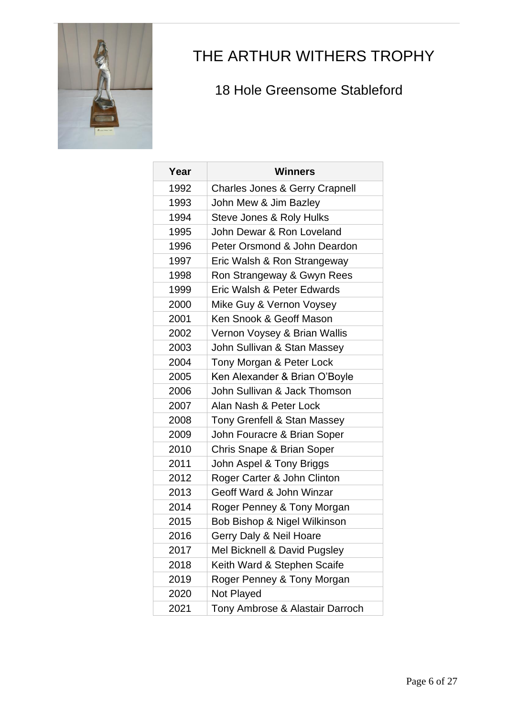

### <span id="page-5-0"></span>THE ARTHUR WITHERS TROPHY

#### 18 Hole Greensome Stableford

| Year | <b>Winners</b>                            |
|------|-------------------------------------------|
| 1992 | <b>Charles Jones &amp; Gerry Crapnell</b> |
| 1993 | John Mew & Jim Bazley                     |
| 1994 | Steve Jones & Roly Hulks                  |
| 1995 | John Dewar & Ron Loveland                 |
| 1996 | Peter Orsmond & John Deardon              |
| 1997 | Eric Walsh & Ron Strangeway               |
| 1998 | Ron Strangeway & Gwyn Rees                |
| 1999 | Eric Walsh & Peter Edwards                |
| 2000 | Mike Guy & Vernon Voysey                  |
| 2001 | Ken Snook & Geoff Mason                   |
| 2002 | Vernon Voysey & Brian Wallis              |
| 2003 | John Sullivan & Stan Massey               |
| 2004 | Tony Morgan & Peter Lock                  |
| 2005 | Ken Alexander & Brian O'Boyle             |
| 2006 | John Sullivan & Jack Thomson              |
| 2007 | Alan Nash & Peter Lock                    |
| 2008 | Tony Grenfell & Stan Massey               |
| 2009 | John Fouracre & Brian Soper               |
| 2010 | Chris Snape & Brian Soper                 |
| 2011 | John Aspel & Tony Briggs                  |
| 2012 | Roger Carter & John Clinton               |
| 2013 | Geoff Ward & John Winzar                  |
| 2014 | Roger Penney & Tony Morgan                |
| 2015 | Bob Bishop & Nigel Wilkinson              |
| 2016 | Gerry Daly & Neil Hoare                   |
| 2017 | Mel Bicknell & David Pugsley              |
| 2018 | Keith Ward & Stephen Scaife               |
| 2019 | Roger Penney & Tony Morgan                |
| 2020 | Not Played                                |
| 2021 | Tony Ambrose & Alastair Darroch           |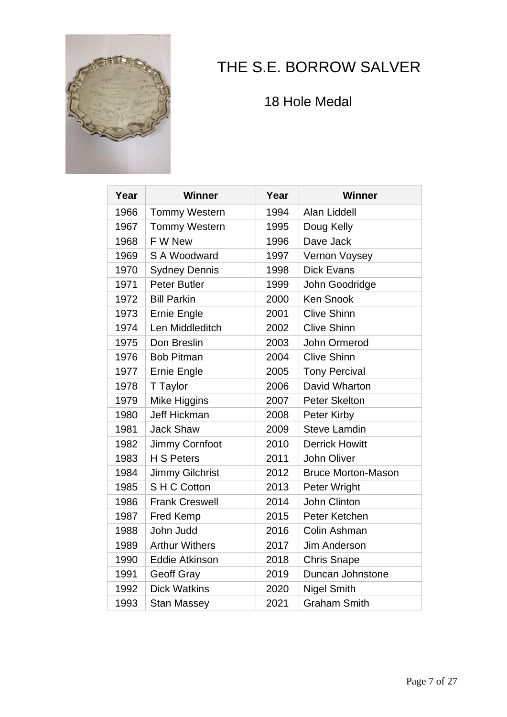

## <span id="page-6-0"></span>THE S.E. BORROW SALVER

18 Hole Medal

| Year | <b>Winner</b>          | Year | <b>Winner</b>             |
|------|------------------------|------|---------------------------|
| 1966 | <b>Tommy Western</b>   | 1994 | Alan Liddell              |
| 1967 | <b>Tommy Western</b>   | 1995 | Doug Kelly                |
| 1968 | F W New                | 1996 | Dave Jack                 |
| 1969 | S A Woodward           | 1997 | Vernon Voysey             |
| 1970 | <b>Sydney Dennis</b>   | 1998 | <b>Dick Evans</b>         |
| 1971 | <b>Peter Butler</b>    | 1999 | John Goodridge            |
| 1972 | <b>Bill Parkin</b>     | 2000 | <b>Ken Snook</b>          |
| 1973 | Ernie Engle            | 2001 | <b>Clive Shinn</b>        |
| 1974 | Len Middleditch        | 2002 | <b>Clive Shinn</b>        |
| 1975 | Don Breslin            | 2003 | John Ormerod              |
| 1976 | <b>Bob Pitman</b>      | 2004 | <b>Clive Shinn</b>        |
| 1977 | Ernie Engle            | 2005 | <b>Tony Percival</b>      |
| 1978 | T Taylor               | 2006 | David Wharton             |
| 1979 | Mike Higgins           | 2007 | <b>Peter Skelton</b>      |
| 1980 | <b>Jeff Hickman</b>    | 2008 | Peter Kirby               |
| 1981 | <b>Jack Shaw</b>       | 2009 | <b>Steve Lamdin</b>       |
| 1982 | Jimmy Cornfoot         | 2010 | <b>Derrick Howitt</b>     |
| 1983 | <b>H S Peters</b>      | 2011 | <b>John Oliver</b>        |
| 1984 | <b>Jimmy Gilchrist</b> | 2012 | <b>Bruce Morton-Mason</b> |
| 1985 | SHC Cotton             | 2013 | Peter Wright              |
| 1986 | <b>Frank Creswell</b>  | 2014 | John Clinton              |
| 1987 | <b>Fred Kemp</b>       | 2015 | Peter Ketchen             |
| 1988 | John Judd              | 2016 | Colin Ashman              |
| 1989 | <b>Arthur Withers</b>  | 2017 | <b>Jim Anderson</b>       |
| 1990 | <b>Eddie Atkinson</b>  | 2018 | <b>Chris Snape</b>        |
| 1991 | <b>Geoff Gray</b>      | 2019 | Duncan Johnstone          |
| 1992 | <b>Dick Watkins</b>    | 2020 | <b>Nigel Smith</b>        |
| 1993 | <b>Stan Massey</b>     | 2021 | <b>Graham Smith</b>       |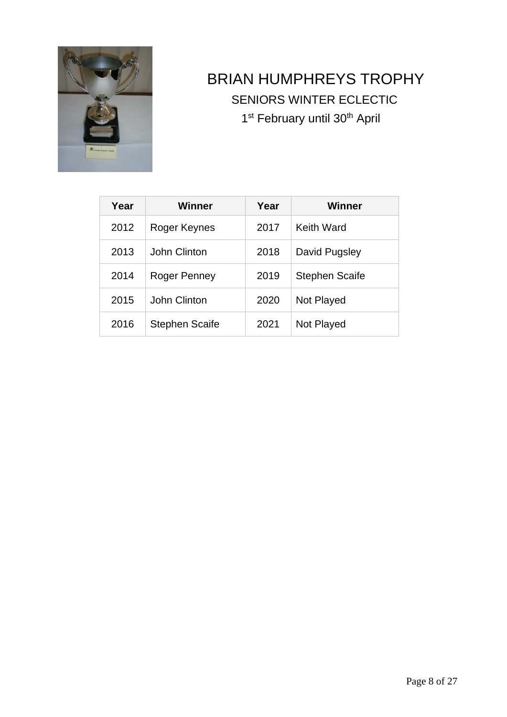

### <span id="page-7-0"></span>BRIAN HUMPHREYS TROPHY SENIORS WINTER ECLECTIC 1<sup>st</sup> February until 30<sup>th</sup> April

| Year | Winner                | Year | Winner                |
|------|-----------------------|------|-----------------------|
| 2012 | Roger Keynes          | 2017 | Keith Ward            |
| 2013 | John Clinton          | 2018 | David Pugsley         |
| 2014 | Roger Penney          | 2019 | <b>Stephen Scaife</b> |
| 2015 | John Clinton          | 2020 | Not Played            |
| 2016 | <b>Stephen Scaife</b> | 2021 | Not Played            |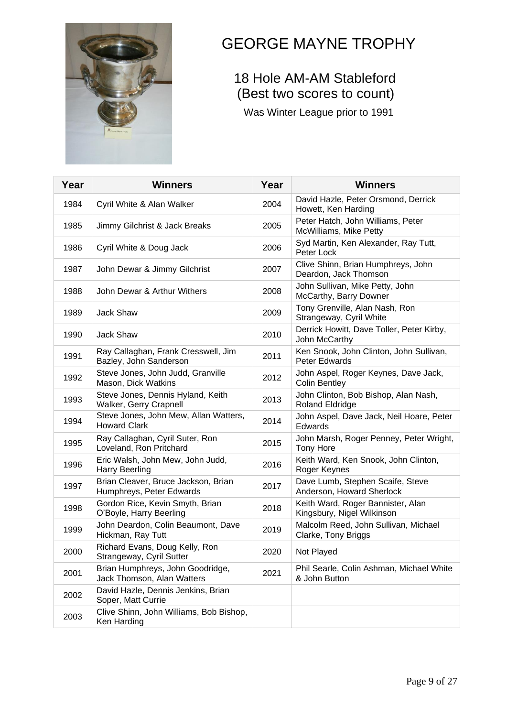

### <span id="page-8-0"></span>GEORGE MAYNE TROPHY

#### 18 Hole AM-AM Stableford (Best two scores to count)

Was Winter League prior to 1991

| Year | <b>Winners</b>                                                  | Year | <b>Winners</b>                                                  |
|------|-----------------------------------------------------------------|------|-----------------------------------------------------------------|
| 1984 | Cyril White & Alan Walker                                       | 2004 | David Hazle, Peter Orsmond, Derrick<br>Howett, Ken Harding      |
| 1985 | Jimmy Gilchrist & Jack Breaks                                   | 2005 | Peter Hatch, John Williams, Peter<br>McWilliams, Mike Petty     |
| 1986 | Cyril White & Doug Jack                                         | 2006 | Syd Martin, Ken Alexander, Ray Tutt,<br>Peter Lock              |
| 1987 | John Dewar & Jimmy Gilchrist                                    | 2007 | Clive Shinn, Brian Humphreys, John<br>Deardon, Jack Thomson     |
| 1988 | John Dewar & Arthur Withers                                     | 2008 | John Sullivan, Mike Petty, John<br>McCarthy, Barry Downer       |
| 1989 | Jack Shaw                                                       | 2009 | Tony Grenville, Alan Nash, Ron<br>Strangeway, Cyril White       |
| 1990 | Jack Shaw                                                       | 2010 | Derrick Howitt, Dave Toller, Peter Kirby,<br>John McCarthy      |
| 1991 | Ray Callaghan, Frank Cresswell, Jim<br>Bazley, John Sanderson   | 2011 | Ken Snook, John Clinton, John Sullivan,<br>Peter Edwards        |
| 1992 | Steve Jones, John Judd, Granville<br>Mason, Dick Watkins        | 2012 | John Aspel, Roger Keynes, Dave Jack,<br><b>Colin Bentley</b>    |
| 1993 | Steve Jones, Dennis Hyland, Keith<br>Walker, Gerry Crapnell     | 2013 | John Clinton, Bob Bishop, Alan Nash,<br><b>Roland Eldridge</b>  |
| 1994 | Steve Jones, John Mew, Allan Watters,<br><b>Howard Clark</b>    | 2014 | John Aspel, Dave Jack, Neil Hoare, Peter<br>Edwards             |
| 1995 | Ray Callaghan, Cyril Suter, Ron<br>Loveland, Ron Pritchard      | 2015 | John Marsh, Roger Penney, Peter Wright,<br><b>Tony Hore</b>     |
| 1996 | Eric Walsh, John Mew, John Judd,<br><b>Harry Beerling</b>       | 2016 | Keith Ward, Ken Snook, John Clinton,<br>Roger Keynes            |
| 1997 | Brian Cleaver, Bruce Jackson, Brian<br>Humphreys, Peter Edwards | 2017 | Dave Lumb, Stephen Scaife, Steve<br>Anderson, Howard Sherlock   |
| 1998 | Gordon Rice, Kevin Smyth, Brian<br>O'Boyle, Harry Beerling      | 2018 | Keith Ward, Roger Bannister, Alan<br>Kingsbury, Nigel Wilkinson |
| 1999 | John Deardon, Colin Beaumont, Dave<br>Hickman, Ray Tutt         | 2019 | Malcolm Reed, John Sullivan, Michael<br>Clarke, Tony Briggs     |
| 2000 | Richard Evans, Doug Kelly, Ron<br>Strangeway, Cyril Sutter      | 2020 | Not Played                                                      |
| 2001 | Brian Humphreys, John Goodridge,<br>Jack Thomson, Alan Watters  | 2021 | Phil Searle, Colin Ashman, Michael White<br>& John Button       |
| 2002 | David Hazle, Dennis Jenkins, Brian<br>Soper, Matt Currie        |      |                                                                 |
| 2003 | Clive Shinn, John Williams, Bob Bishop,<br>Ken Harding          |      |                                                                 |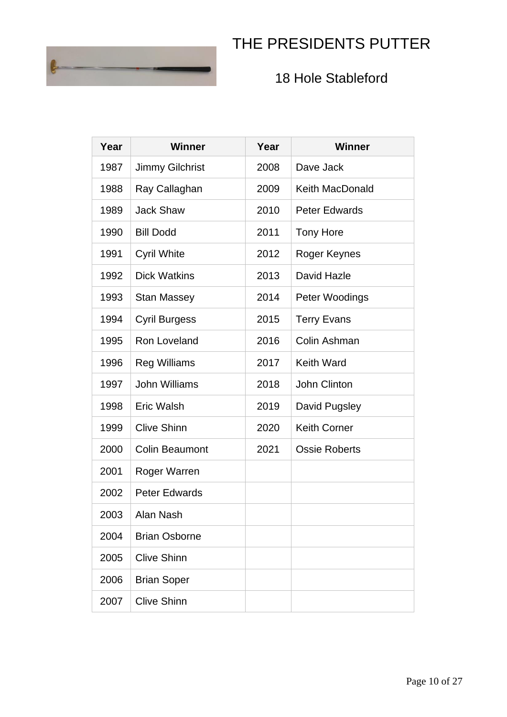### <span id="page-9-0"></span>THE PRESIDENTS PUTTER



#### 18 Hole Stableford

| Year | <b>Winner</b>          | Year | <b>Winner</b>          |
|------|------------------------|------|------------------------|
| 1987 | <b>Jimmy Gilchrist</b> | 2008 | Dave Jack              |
| 1988 | Ray Callaghan          | 2009 | <b>Keith MacDonald</b> |
| 1989 | <b>Jack Shaw</b>       | 2010 | <b>Peter Edwards</b>   |
| 1990 | <b>Bill Dodd</b>       | 2011 | <b>Tony Hore</b>       |
| 1991 | <b>Cyril White</b>     | 2012 | Roger Keynes           |
| 1992 | <b>Dick Watkins</b>    | 2013 | David Hazle            |
| 1993 | <b>Stan Massey</b>     | 2014 | Peter Woodings         |
| 1994 | <b>Cyril Burgess</b>   | 2015 | <b>Terry Evans</b>     |
| 1995 | Ron Loveland           | 2016 | Colin Ashman           |
| 1996 | <b>Reg Williams</b>    | 2017 | <b>Keith Ward</b>      |
| 1997 | <b>John Williams</b>   | 2018 | John Clinton           |
| 1998 | <b>Eric Walsh</b>      | 2019 | David Pugsley          |
| 1999 | <b>Clive Shinn</b>     | 2020 | <b>Keith Corner</b>    |
| 2000 | <b>Colin Beaumont</b>  | 2021 | <b>Ossie Roberts</b>   |
| 2001 | Roger Warren           |      |                        |
| 2002 | <b>Peter Edwards</b>   |      |                        |
| 2003 | Alan Nash              |      |                        |
| 2004 | <b>Brian Osborne</b>   |      |                        |
| 2005 | <b>Clive Shinn</b>     |      |                        |
| 2006 | <b>Brian Soper</b>     |      |                        |
| 2007 | <b>Clive Shinn</b>     |      |                        |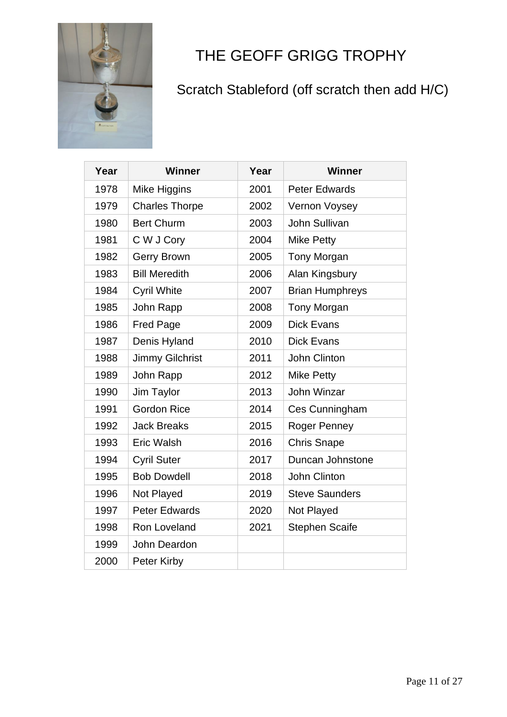

## <span id="page-10-0"></span>THE GEOFF GRIGG TROPHY

### Scratch Stableford (off scratch then add H/C)

| Year | Winner                 | Year | <b>Winner</b>          |
|------|------------------------|------|------------------------|
| 1978 | Mike Higgins           | 2001 | <b>Peter Edwards</b>   |
| 1979 | <b>Charles Thorpe</b>  | 2002 | Vernon Voysey          |
| 1980 | <b>Bert Churm</b>      | 2003 | John Sullivan          |
| 1981 | C W J Cory             | 2004 | <b>Mike Petty</b>      |
| 1982 | <b>Gerry Brown</b>     | 2005 | <b>Tony Morgan</b>     |
| 1983 | <b>Bill Meredith</b>   | 2006 | Alan Kingsbury         |
| 1984 | <b>Cyril White</b>     | 2007 | <b>Brian Humphreys</b> |
| 1985 | John Rapp              | 2008 | <b>Tony Morgan</b>     |
| 1986 | <b>Fred Page</b>       | 2009 | <b>Dick Evans</b>      |
| 1987 | Denis Hyland           | 2010 | <b>Dick Evans</b>      |
| 1988 | <b>Jimmy Gilchrist</b> | 2011 | John Clinton           |
| 1989 | John Rapp              | 2012 | <b>Mike Petty</b>      |
| 1990 | Jim Taylor             | 2013 | John Winzar            |
| 1991 | <b>Gordon Rice</b>     | 2014 | Ces Cunningham         |
| 1992 | <b>Jack Breaks</b>     | 2015 | Roger Penney           |
| 1993 | <b>Eric Walsh</b>      | 2016 | <b>Chris Snape</b>     |
| 1994 | <b>Cyril Suter</b>     | 2017 | Duncan Johnstone       |
| 1995 | <b>Bob Dowdell</b>     | 2018 | John Clinton           |
| 1996 | Not Played             | 2019 | <b>Steve Saunders</b>  |
| 1997 | <b>Peter Edwards</b>   | 2020 | Not Played             |
| 1998 | Ron Loveland           | 2021 | <b>Stephen Scaife</b>  |
| 1999 | John Deardon           |      |                        |
| 2000 | Peter Kirby            |      |                        |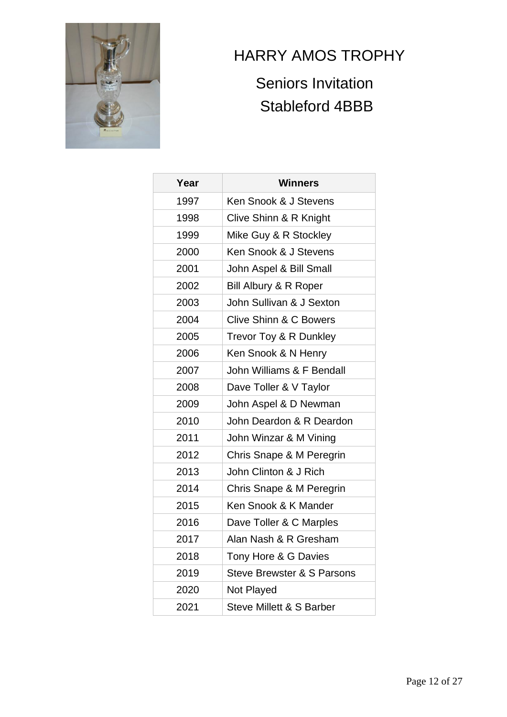

### <span id="page-11-0"></span>HARRY AMOS TROPHY

### Seniors Invitation Stableford 4BBB

| Year | <b>Winners</b>                    |
|------|-----------------------------------|
| 1997 | Ken Snook & J Stevens             |
| 1998 | Clive Shinn & R Knight            |
| 1999 | Mike Guy & R Stockley             |
| 2000 | Ken Snook & J Stevens             |
| 2001 | John Aspel & Bill Small           |
| 2002 | Bill Albury & R Roper             |
| 2003 | John Sullivan & J Sexton          |
| 2004 | <b>Clive Shinn &amp; C Bowers</b> |
| 2005 | Trevor Toy & R Dunkley            |
| 2006 | Ken Snook & N Henry               |
| 2007 | John Williams & F Bendall         |
| 2008 | Dave Toller & V Taylor            |
| 2009 | John Aspel & D Newman             |
| 2010 | John Deardon & R Deardon          |
| 2011 | John Winzar & M Vining            |
| 2012 | Chris Snape & M Peregrin          |
| 2013 | John Clinton & J Rich             |
| 2014 | Chris Snape & M Peregrin          |
| 2015 | Ken Snook & K Mander              |
| 2016 | Dave Toller & C Marples           |
| 2017 | Alan Nash & R Gresham             |
| 2018 | Tony Hore & G Davies              |
| 2019 | Steve Brewster & S Parsons        |
| 2020 | Not Played                        |
| 2021 | Steve Millett & S Barber          |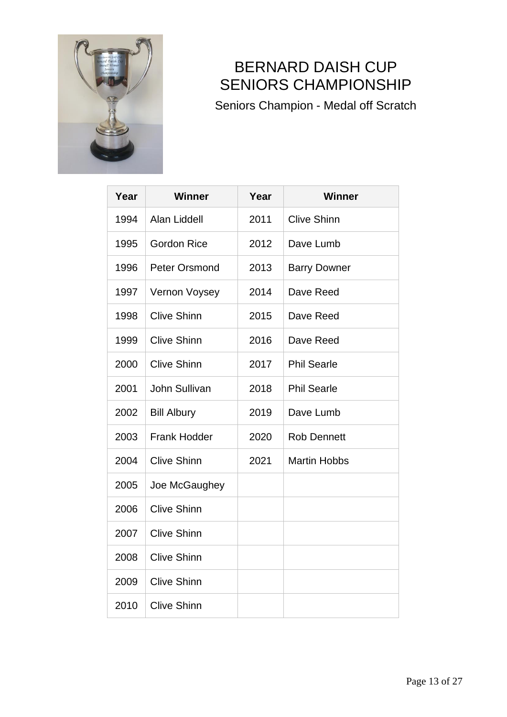

### <span id="page-12-0"></span>BERNARD DAISH CUP SENIORS CHAMPIONSHIP

Seniors Champion - Medal off Scratch

| Year | <b>Winner</b>       | Year | <b>Winner</b>       |
|------|---------------------|------|---------------------|
| 1994 | <b>Alan Liddell</b> | 2011 | <b>Clive Shinn</b>  |
| 1995 | <b>Gordon Rice</b>  | 2012 | Dave Lumb           |
| 1996 | Peter Orsmond       | 2013 | <b>Barry Downer</b> |
| 1997 | Vernon Voysey       | 2014 | Dave Reed           |
| 1998 | <b>Clive Shinn</b>  | 2015 | Dave Reed           |
| 1999 | <b>Clive Shinn</b>  | 2016 | Dave Reed           |
| 2000 | <b>Clive Shinn</b>  | 2017 | <b>Phil Searle</b>  |
| 2001 | John Sullivan       | 2018 | <b>Phil Searle</b>  |
| 2002 | <b>Bill Albury</b>  | 2019 | Dave Lumb           |
| 2003 | <b>Frank Hodder</b> | 2020 | <b>Rob Dennett</b>  |
| 2004 | <b>Clive Shinn</b>  | 2021 | <b>Martin Hobbs</b> |
| 2005 | Joe McGaughey       |      |                     |
| 2006 | <b>Clive Shinn</b>  |      |                     |
| 2007 | <b>Clive Shinn</b>  |      |                     |
| 2008 | <b>Clive Shinn</b>  |      |                     |
| 2009 | <b>Clive Shinn</b>  |      |                     |
| 2010 | <b>Clive Shinn</b>  |      |                     |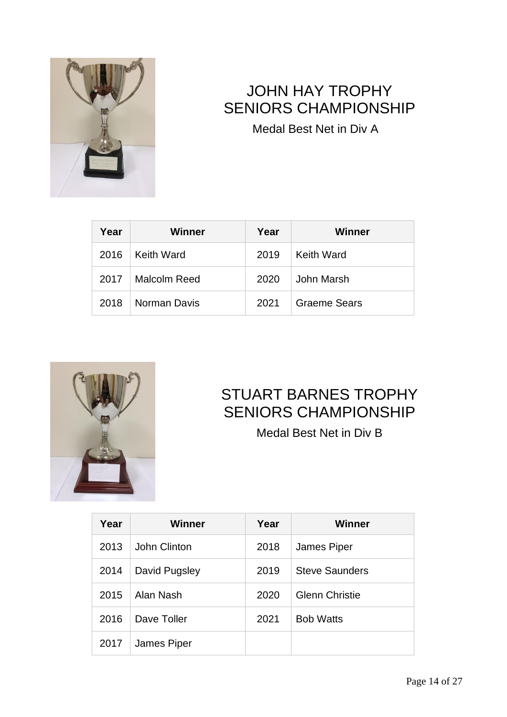![](_page_13_Picture_0.jpeg)

### <span id="page-13-0"></span>JOHN HAY TROPHY SENIORS CHAMPIONSHIP

Medal Best Net in Div A

| Year | <b>Winner</b> | Year | Winner              |
|------|---------------|------|---------------------|
| 2016 | Keith Ward    | 2019 | Keith Ward          |
| 2017 | Malcolm Reed  | 2020 | John Marsh          |
| 2018 | Norman Davis  | 2021 | <b>Graeme Sears</b> |

![](_page_13_Picture_4.jpeg)

### <span id="page-13-1"></span>STUART BARNES TROPHY SENIORS CHAMPIONSHIP

Medal Best Net in Div B

| Year | Winner        | Year | Winner                |
|------|---------------|------|-----------------------|
| 2013 | John Clinton  | 2018 | James Piper           |
| 2014 | David Pugsley | 2019 | <b>Steve Saunders</b> |
| 2015 | Alan Nash     | 2020 | <b>Glenn Christie</b> |
| 2016 | Dave Toller   | 2021 | <b>Bob Watts</b>      |
| 2017 | James Piper   |      |                       |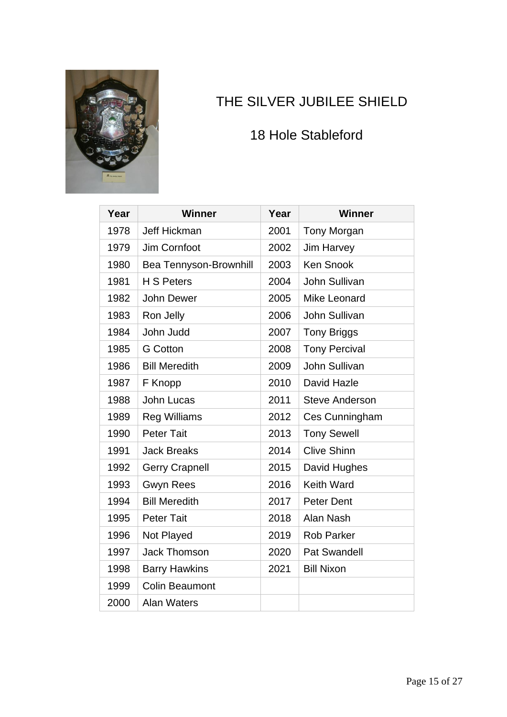![](_page_14_Picture_0.jpeg)

### <span id="page-14-0"></span>THE SILVER JUBILEE SHIELD

#### 18 Hole Stableford

| Year | <b>Winner</b>          | Year | <b>Winner</b>         |
|------|------------------------|------|-----------------------|
| 1978 | Jeff Hickman           | 2001 | <b>Tony Morgan</b>    |
| 1979 | Jim Cornfoot           | 2002 | <b>Jim Harvey</b>     |
| 1980 | Bea Tennyson-Brownhill | 2003 | <b>Ken Snook</b>      |
| 1981 | <b>H S Peters</b>      | 2004 | <b>John Sullivan</b>  |
| 1982 | John Dewer             | 2005 | <b>Mike Leonard</b>   |
| 1983 | Ron Jelly              | 2006 | John Sullivan         |
| 1984 | John Judd              | 2007 | <b>Tony Briggs</b>    |
| 1985 | <b>G</b> Cotton        | 2008 | <b>Tony Percival</b>  |
| 1986 | <b>Bill Meredith</b>   | 2009 | <b>John Sullivan</b>  |
| 1987 | F Knopp                | 2010 | David Hazle           |
| 1988 | <b>John Lucas</b>      | 2011 | <b>Steve Anderson</b> |
| 1989 | <b>Reg Williams</b>    | 2012 | Ces Cunningham        |
| 1990 | <b>Peter Tait</b>      | 2013 | <b>Tony Sewell</b>    |
| 1991 | <b>Jack Breaks</b>     | 2014 | <b>Clive Shinn</b>    |
| 1992 | <b>Gerry Crapnell</b>  | 2015 | David Hughes          |
| 1993 | <b>Gwyn Rees</b>       | 2016 | <b>Keith Ward</b>     |
| 1994 | <b>Bill Meredith</b>   | 2017 | <b>Peter Dent</b>     |
| 1995 | <b>Peter Tait</b>      | 2018 | Alan Nash             |
| 1996 | Not Played             | 2019 | <b>Rob Parker</b>     |
| 1997 | <b>Jack Thomson</b>    | 2020 | <b>Pat Swandell</b>   |
| 1998 | <b>Barry Hawkins</b>   | 2021 | <b>Bill Nixon</b>     |
| 1999 | <b>Colin Beaumont</b>  |      |                       |
| 2000 | <b>Alan Waters</b>     |      |                       |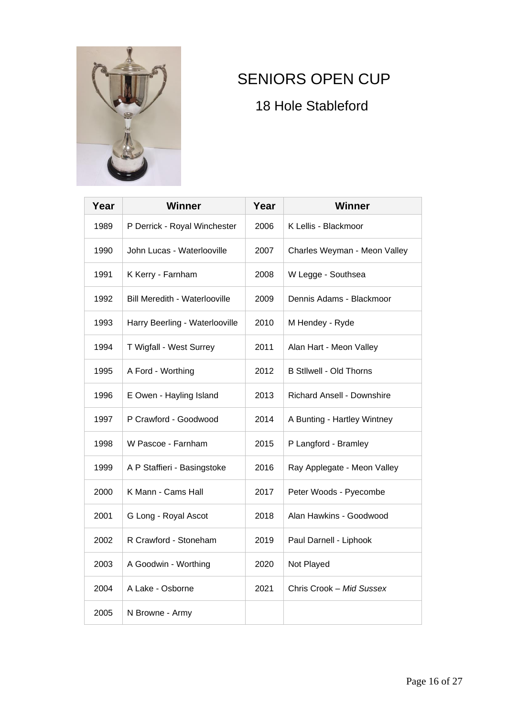![](_page_15_Picture_0.jpeg)

### <span id="page-15-0"></span>SENIORS OPEN CUP

18 Hole Stableford

| Year | <b>Winner</b>                        | Year | Winner                            |
|------|--------------------------------------|------|-----------------------------------|
| 1989 | P Derrick - Royal Winchester         | 2006 | K Lellis - Blackmoor              |
| 1990 | John Lucas - Waterlooville           | 2007 | Charles Weyman - Meon Valley      |
| 1991 | K Kerry - Farnham                    | 2008 | W Legge - Southsea                |
| 1992 | <b>Bill Meredith - Waterlooville</b> | 2009 | Dennis Adams - Blackmoor          |
| 1993 | Harry Beerling - Waterlooville       | 2010 | M Hendey - Ryde                   |
| 1994 | T Wigfall - West Surrey              | 2011 | Alan Hart - Meon Valley           |
| 1995 | A Ford - Worthing                    | 2012 | <b>B Stilwell - Old Thorns</b>    |
| 1996 | E Owen - Hayling Island              | 2013 | <b>Richard Ansell - Downshire</b> |
| 1997 | P Crawford - Goodwood                | 2014 | A Bunting - Hartley Wintney       |
| 1998 | W Pascoe - Farnham                   | 2015 | P Langford - Bramley              |
| 1999 | A P Staffieri - Basingstoke          | 2016 | Ray Applegate - Meon Valley       |
| 2000 | K Mann - Cams Hall                   | 2017 | Peter Woods - Pyecombe            |
| 2001 | G Long - Royal Ascot                 | 2018 | Alan Hawkins - Goodwood           |
| 2002 | R Crawford - Stoneham                | 2019 | Paul Darnell - Liphook            |
| 2003 | A Goodwin - Worthing                 | 2020 | Not Played                        |
| 2004 | A Lake - Osborne                     | 2021 | Chris Crook - Mid Sussex          |
| 2005 | N Browne - Army                      |      |                                   |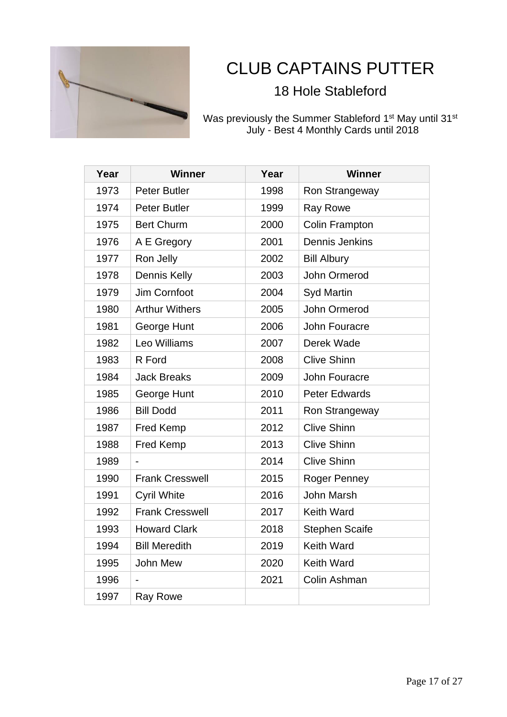![](_page_16_Picture_0.jpeg)

# <span id="page-16-0"></span>CLUB CAPTAINS PUTTER

#### 18 Hole Stableford

Was previously the Summer Stableford 1<sup>st</sup> May until 31<sup>st</sup> July - Best 4 Monthly Cards until 2018

| Year | <b>Winner</b>            | Year | <b>Winner</b>         |
|------|--------------------------|------|-----------------------|
| 1973 | <b>Peter Butler</b>      | 1998 | Ron Strangeway        |
| 1974 | <b>Peter Butler</b>      | 1999 | <b>Ray Rowe</b>       |
| 1975 | <b>Bert Churm</b>        | 2000 | Colin Frampton        |
| 1976 | A E Gregory              | 2001 | Dennis Jenkins        |
| 1977 | Ron Jelly                | 2002 | <b>Bill Albury</b>    |
| 1978 | Dennis Kelly             | 2003 | <b>John Ormerod</b>   |
| 1979 | Jim Cornfoot             | 2004 | <b>Syd Martin</b>     |
| 1980 | <b>Arthur Withers</b>    | 2005 | John Ormerod          |
| 1981 | George Hunt              | 2006 | <b>John Fouracre</b>  |
| 1982 | Leo Williams             | 2007 | Derek Wade            |
| 1983 | R Ford                   | 2008 | <b>Clive Shinn</b>    |
| 1984 | <b>Jack Breaks</b>       | 2009 | John Fouracre         |
| 1985 | George Hunt              | 2010 | <b>Peter Edwards</b>  |
| 1986 | <b>Bill Dodd</b>         | 2011 | Ron Strangeway        |
| 1987 | <b>Fred Kemp</b>         | 2012 | <b>Clive Shinn</b>    |
| 1988 | <b>Fred Kemp</b>         | 2013 | <b>Clive Shinn</b>    |
| 1989 | $\overline{\phantom{a}}$ | 2014 | <b>Clive Shinn</b>    |
| 1990 | <b>Frank Cresswell</b>   | 2015 | Roger Penney          |
| 1991 | <b>Cyril White</b>       | 2016 | <b>John Marsh</b>     |
| 1992 | <b>Frank Cresswell</b>   | 2017 | <b>Keith Ward</b>     |
| 1993 | <b>Howard Clark</b>      | 2018 | <b>Stephen Scaife</b> |
| 1994 | <b>Bill Meredith</b>     | 2019 | <b>Keith Ward</b>     |
| 1995 | John Mew                 | 2020 | <b>Keith Ward</b>     |
| 1996 | $\overline{\phantom{0}}$ | 2021 | Colin Ashman          |
| 1997 | <b>Ray Rowe</b>          |      |                       |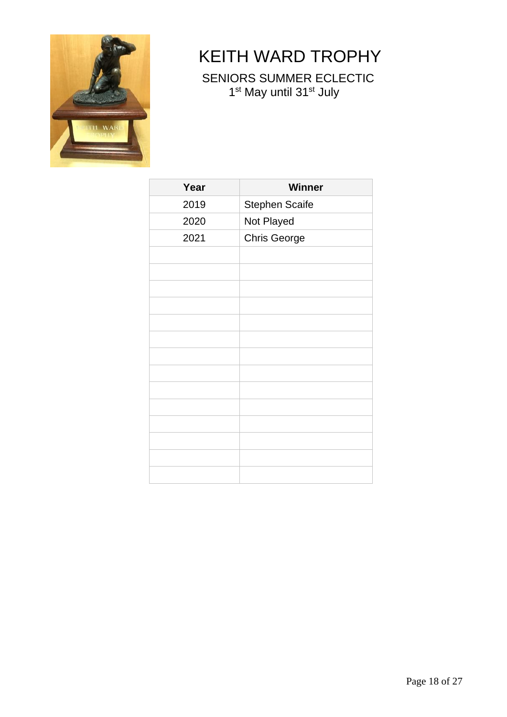![](_page_17_Picture_0.jpeg)

# <span id="page-17-0"></span>KEITH WARD TROPHY

SENIORS SUMMER ECLECTIC 1<sup>st</sup> May until 31<sup>st</sup> July

| Year | <b>Winner</b>         |
|------|-----------------------|
| 2019 | <b>Stephen Scaife</b> |
| 2020 | Not Played            |
| 2021 | <b>Chris George</b>   |
|      |                       |
|      |                       |
|      |                       |
|      |                       |
|      |                       |
|      |                       |
|      |                       |
|      |                       |
|      |                       |
|      |                       |
|      |                       |
|      |                       |
|      |                       |
|      |                       |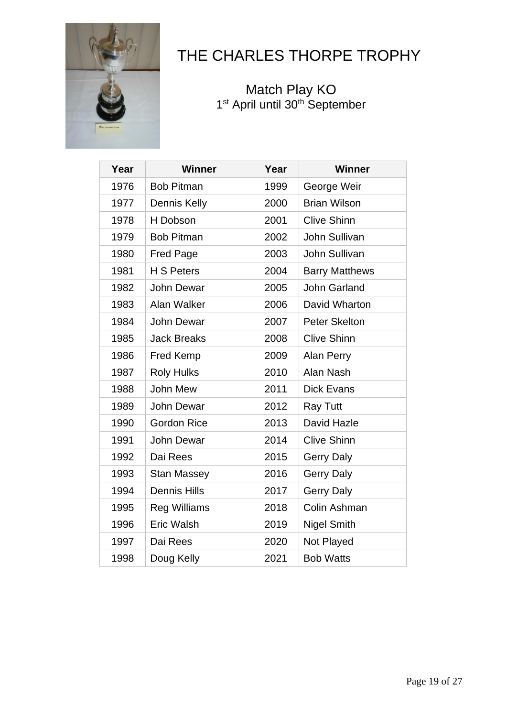![](_page_18_Picture_0.jpeg)

### <span id="page-18-0"></span>THE CHARLES THORPE TROPHY

**Match Play KO** 1st April until 30<sup>th</sup> September

| Year | <b>Winner</b>       | Year | <b>Winner</b>         |
|------|---------------------|------|-----------------------|
| 1976 | <b>Bob Pitman</b>   | 1999 | George Weir           |
| 1977 | Dennis Kelly        | 2000 | <b>Brian Wilson</b>   |
| 1978 | H Dobson            | 2001 | <b>Clive Shinn</b>    |
| 1979 | <b>Bob Pitman</b>   | 2002 | John Sullivan         |
| 1980 | <b>Fred Page</b>    | 2003 | John Sullivan         |
| 1981 | H S Peters          | 2004 | <b>Barry Matthews</b> |
| 1982 | <b>John Dewar</b>   | 2005 | <b>John Garland</b>   |
| 1983 | Alan Walker         | 2006 | David Wharton         |
| 1984 | <b>John Dewar</b>   | 2007 | <b>Peter Skelton</b>  |
| 1985 | <b>Jack Breaks</b>  | 2008 | <b>Clive Shinn</b>    |
| 1986 | <b>Fred Kemp</b>    | 2009 | Alan Perry            |
| 1987 | <b>Roly Hulks</b>   | 2010 | Alan Nash             |
| 1988 | John Mew            | 2011 | <b>Dick Evans</b>     |
| 1989 | <b>John Dewar</b>   | 2012 | <b>Ray Tutt</b>       |
| 1990 | <b>Gordon Rice</b>  | 2013 | David Hazle           |
| 1991 | John Dewar          | 2014 | <b>Clive Shinn</b>    |
| 1992 | Dai Rees            | 2015 | <b>Gerry Daly</b>     |
| 1993 | <b>Stan Massey</b>  | 2016 | <b>Gerry Daly</b>     |
| 1994 | <b>Dennis Hills</b> | 2017 | <b>Gerry Daly</b>     |
| 1995 | <b>Reg Williams</b> | 2018 | Colin Ashman          |
| 1996 | <b>Eric Walsh</b>   | 2019 | <b>Nigel Smith</b>    |
| 1997 | Dai Rees            | 2020 | Not Played            |
| 1998 | Doug Kelly          | 2021 | <b>Bob Watts</b>      |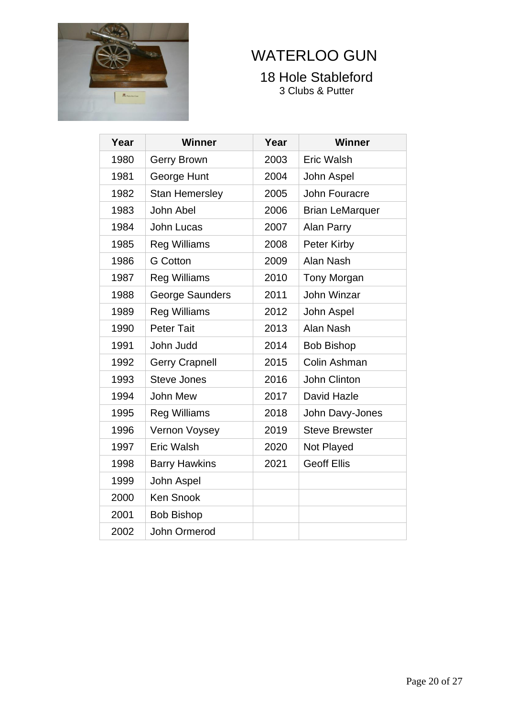![](_page_19_Picture_0.jpeg)

# <span id="page-19-0"></span>WATERLOO GUN

#### 18 Hole Stableford 3 Clubs & Putter

| Year | <b>Winner</b>         | Year | <b>Winner</b>          |
|------|-----------------------|------|------------------------|
| 1980 | Gerry Brown           | 2003 | <b>Eric Walsh</b>      |
| 1981 | George Hunt           | 2004 | John Aspel             |
| 1982 | <b>Stan Hemersley</b> | 2005 | John Fouracre          |
| 1983 | John Abel             | 2006 | <b>Brian LeMarquer</b> |
| 1984 | John Lucas            | 2007 | Alan Parry             |
| 1985 | <b>Reg Williams</b>   | 2008 | Peter Kirby            |
| 1986 | <b>G</b> Cotton       | 2009 | Alan Nash              |
| 1987 | <b>Reg Williams</b>   | 2010 | <b>Tony Morgan</b>     |
| 1988 | George Saunders       | 2011 | <b>John Winzar</b>     |
| 1989 | <b>Reg Williams</b>   | 2012 | John Aspel             |
| 1990 | <b>Peter Tait</b>     | 2013 | Alan Nash              |
| 1991 | John Judd             | 2014 | <b>Bob Bishop</b>      |
| 1992 | <b>Gerry Crapnell</b> | 2015 | Colin Ashman           |
| 1993 | <b>Steve Jones</b>    | 2016 | John Clinton           |
| 1994 | John Mew              | 2017 | David Hazle            |
| 1995 | <b>Reg Williams</b>   | 2018 | John Davy-Jones        |
| 1996 | Vernon Voysey         | 2019 | <b>Steve Brewster</b>  |
| 1997 | Eric Walsh            | 2020 | Not Played             |
| 1998 | <b>Barry Hawkins</b>  | 2021 | <b>Geoff Ellis</b>     |
| 1999 | John Aspel            |      |                        |
| 2000 | <b>Ken Snook</b>      |      |                        |
| 2001 | <b>Bob Bishop</b>     |      |                        |
| 2002 | John Ormerod          |      |                        |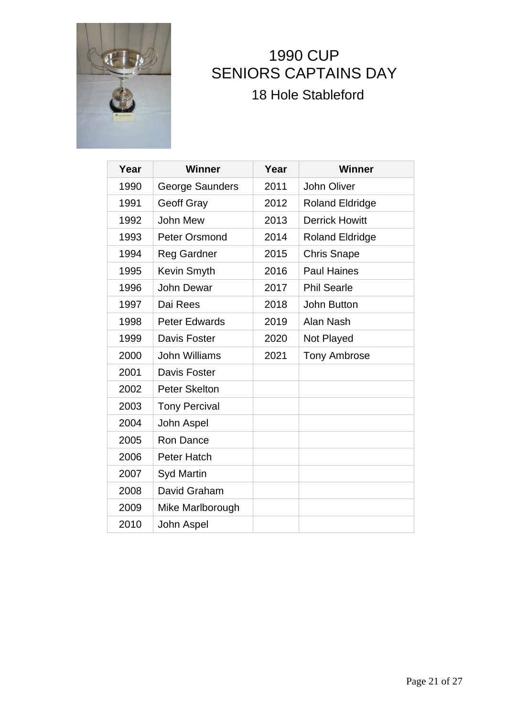![](_page_20_Picture_0.jpeg)

### <span id="page-20-0"></span>1990 CUP SENIORS CAPTAINS DAY 18 Hole Stableford

| Year | Winner               | Year | <b>Winner</b>          |
|------|----------------------|------|------------------------|
| 1990 | George Saunders      | 2011 | <b>John Oliver</b>     |
| 1991 | <b>Geoff Gray</b>    | 2012 | <b>Roland Eldridge</b> |
| 1992 | John Mew             | 2013 | <b>Derrick Howitt</b>  |
| 1993 | <b>Peter Orsmond</b> | 2014 | <b>Roland Eldridge</b> |
| 1994 | <b>Reg Gardner</b>   | 2015 | <b>Chris Snape</b>     |
| 1995 | Kevin Smyth          | 2016 | <b>Paul Haines</b>     |
| 1996 | <b>John Dewar</b>    | 2017 | <b>Phil Searle</b>     |
| 1997 | Dai Rees             | 2018 | <b>John Button</b>     |
| 1998 | <b>Peter Edwards</b> | 2019 | Alan Nash              |
| 1999 | Davis Foster         | 2020 | Not Played             |
| 2000 | John Williams        | 2021 | <b>Tony Ambrose</b>    |
| 2001 | Davis Foster         |      |                        |
| 2002 | <b>Peter Skelton</b> |      |                        |
| 2003 | <b>Tony Percival</b> |      |                        |
| 2004 | John Aspel           |      |                        |
| 2005 | Ron Dance            |      |                        |
| 2006 | Peter Hatch          |      |                        |
| 2007 | <b>Syd Martin</b>    |      |                        |
| 2008 | David Graham         |      |                        |
| 2009 | Mike Marlborough     |      |                        |
| 2010 | John Aspel           |      |                        |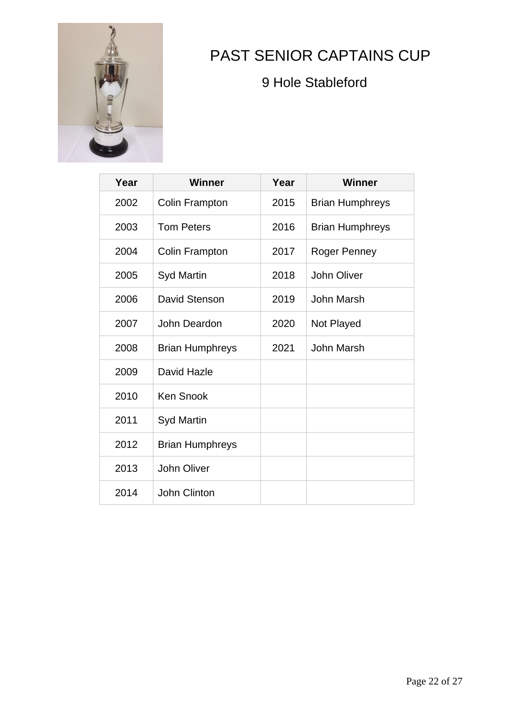![](_page_21_Picture_0.jpeg)

## <span id="page-21-0"></span>PAST SENIOR CAPTAINS CUP

9 Hole Stableford

| Year | Winner                 | Year | <b>Winner</b>          |
|------|------------------------|------|------------------------|
| 2002 | <b>Colin Frampton</b>  | 2015 | <b>Brian Humphreys</b> |
| 2003 | <b>Tom Peters</b>      | 2016 | <b>Brian Humphreys</b> |
| 2004 | Colin Frampton         | 2017 | Roger Penney           |
| 2005 | <b>Syd Martin</b>      | 2018 | <b>John Oliver</b>     |
| 2006 | David Stenson          | 2019 | John Marsh             |
| 2007 | John Deardon           | 2020 | Not Played             |
| 2008 | <b>Brian Humphreys</b> | 2021 | <b>John Marsh</b>      |
| 2009 | David Hazle            |      |                        |
| 2010 | <b>Ken Snook</b>       |      |                        |
| 2011 | <b>Syd Martin</b>      |      |                        |
| 2012 | <b>Brian Humphreys</b> |      |                        |
| 2013 | <b>John Oliver</b>     |      |                        |
| 2014 | John Clinton           |      |                        |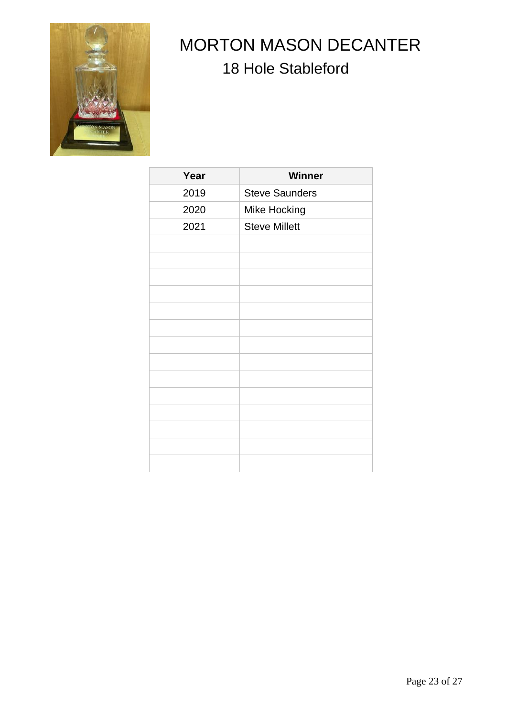![](_page_22_Picture_0.jpeg)

# <span id="page-22-0"></span> MORTON MASON DECANTER 18 Hole Stableford

| Year | Winner                |
|------|-----------------------|
| 2019 | <b>Steve Saunders</b> |
| 2020 | Mike Hocking          |
| 2021 | <b>Steve Millett</b>  |
|      |                       |
|      |                       |
|      |                       |
|      |                       |
|      |                       |
|      |                       |
|      |                       |
|      |                       |
|      |                       |
|      |                       |
|      |                       |
|      |                       |
|      |                       |
|      |                       |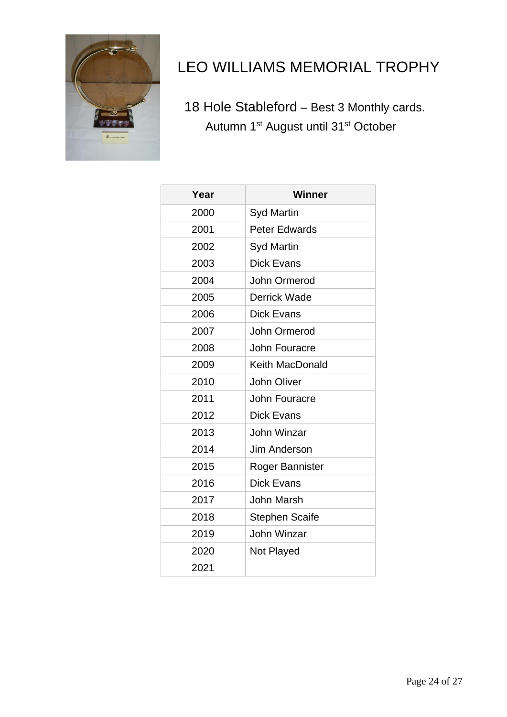![](_page_23_Picture_0.jpeg)

## <span id="page-23-0"></span>LEO WILLIAMS MEMORIAL TROPHY

 18 Hole Stableford – Best 3 Monthly cards. Autumn 1<sup>st</sup> August until 31<sup>st</sup> October

| Year | <b>Winner</b>          |
|------|------------------------|
| 2000 | <b>Syd Martin</b>      |
| 2001 | <b>Peter Edwards</b>   |
| 2002 | <b>Syd Martin</b>      |
| 2003 | <b>Dick Evans</b>      |
| 2004 | John Ormerod           |
| 2005 | <b>Derrick Wade</b>    |
| 2006 | <b>Dick Evans</b>      |
| 2007 | John Ormerod           |
| 2008 | John Fouracre          |
| 2009 | <b>Keith MacDonald</b> |
| 2010 | John Oliver            |
| 2011 | John Fouracre          |
| 2012 | <b>Dick Evans</b>      |
| 2013 | John Winzar            |
| 2014 | Jim Anderson           |
| 2015 | Roger Bannister        |
| 2016 | <b>Dick Evans</b>      |
| 2017 | <b>John Marsh</b>      |
| 2018 | <b>Stephen Scaife</b>  |
| 2019 | <b>John Winzar</b>     |
| 2020 | Not Played             |
| 2021 |                        |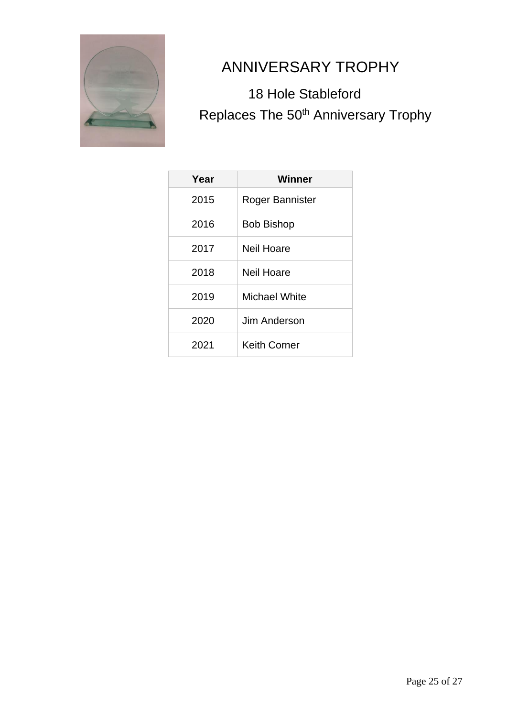![](_page_24_Picture_0.jpeg)

### <span id="page-24-0"></span>ANNIVERSARY TROPHY

### 18 Hole Stableford Replaces The 50<sup>th</sup> Anniversary Trophy

| Year | Winner               |
|------|----------------------|
| 2015 | Roger Bannister      |
| 2016 | <b>Bob Bishop</b>    |
| 2017 | Neil Hoare           |
| 2018 | Neil Hoare           |
| 2019 | <b>Michael White</b> |
| 2020 | Jim Anderson         |
| 2021 | <b>Keith Corner</b>  |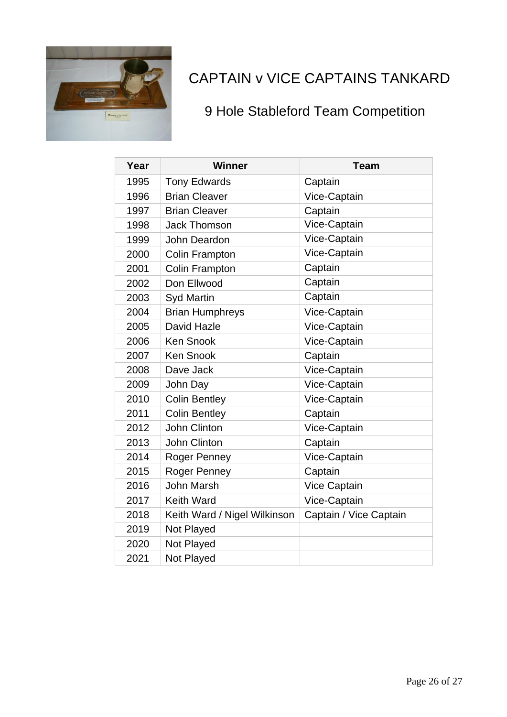![](_page_25_Picture_0.jpeg)

### <span id="page-25-0"></span>CAPTAIN v VICE CAPTAINS TANKARD

### 9 Hole Stableford Team Competition

| Year | Winner                       | <b>Team</b>            |
|------|------------------------------|------------------------|
| 1995 | <b>Tony Edwards</b>          | Captain                |
| 1996 | <b>Brian Cleaver</b>         | Vice-Captain           |
| 1997 | <b>Brian Cleaver</b>         | Captain                |
| 1998 | <b>Jack Thomson</b>          | Vice-Captain           |
| 1999 | John Deardon                 | Vice-Captain           |
| 2000 | Colin Frampton               | Vice-Captain           |
| 2001 | Colin Frampton               | Captain                |
| 2002 | Don Ellwood                  | Captain                |
| 2003 | <b>Syd Martin</b>            | Captain                |
| 2004 | <b>Brian Humphreys</b>       | Vice-Captain           |
| 2005 | David Hazle                  | Vice-Captain           |
| 2006 | <b>Ken Snook</b>             | Vice-Captain           |
| 2007 | <b>Ken Snook</b>             | Captain                |
| 2008 | Dave Jack                    | Vice-Captain           |
| 2009 | John Day                     | Vice-Captain           |
| 2010 | <b>Colin Bentley</b>         | Vice-Captain           |
| 2011 | <b>Colin Bentley</b>         | Captain                |
| 2012 | <b>John Clinton</b>          | Vice-Captain           |
| 2013 | <b>John Clinton</b>          | Captain                |
| 2014 | Roger Penney                 | Vice-Captain           |
| 2015 | Roger Penney                 | Captain                |
| 2016 | <b>John Marsh</b>            | Vice Captain           |
| 2017 | <b>Keith Ward</b>            | Vice-Captain           |
| 2018 | Keith Ward / Nigel Wilkinson | Captain / Vice Captain |
| 2019 | Not Played                   |                        |
| 2020 | Not Played                   |                        |
| 2021 | Not Played                   |                        |